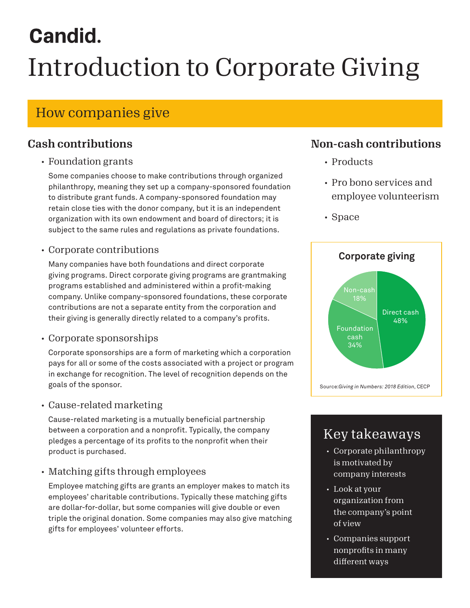# **Candid.** Introduction to Corporate Giving

# How companies give

## Cash contributions

#### • Foundation grants

Some companies choose to make contributions through organized philanthropy, meaning they set up a company-sponsored foundation to distribute grant funds. A company-sponsored foundation may retain close ties with the donor company, but it is an independent organization with its own endowment and board of directors; it is subject to the same rules and regulations as private foundations.

### • Corporate contributions

Many companies have both foundations and direct corporate giving programs. Direct corporate giving programs are grantmaking programs established and administered within a profit-making company. Unlike company-sponsored foundations, these corporate contributions are not a separate entity from the corporation and their giving is generally directly related to a company's profits.

#### • Corporate sponsorships

Corporate sponsorships are a form of marketing which a corporation pays for all or some of the costs associated with a project or program in exchange for recognition. The level of recognition depends on the goals of the sponsor.

#### • Cause-related marketing

Cause-related marketing is a mutually beneficial partnership between a corporation and a nonprofit. Typically, the company pledges a percentage of its profits to the nonprofit when their product is purchased.

## • Matching gifts through employees

Employee matching gifts are grants an employer makes to match its employees' charitable contributions. Typically these matching gifts are dollar-for-dollar, but some companies will give double or even triple the original donation. Some companies may also give matching gifts for employees' volunteer efforts.

## Non-cash contributions

- Products
- Pro bono services and employee volunteerism
- Space



# Key takeaways

- Corporate philanthropy is motivated by company interests
- Look at your organization from the company's point of view
- Companies support nonprofits in many different ways